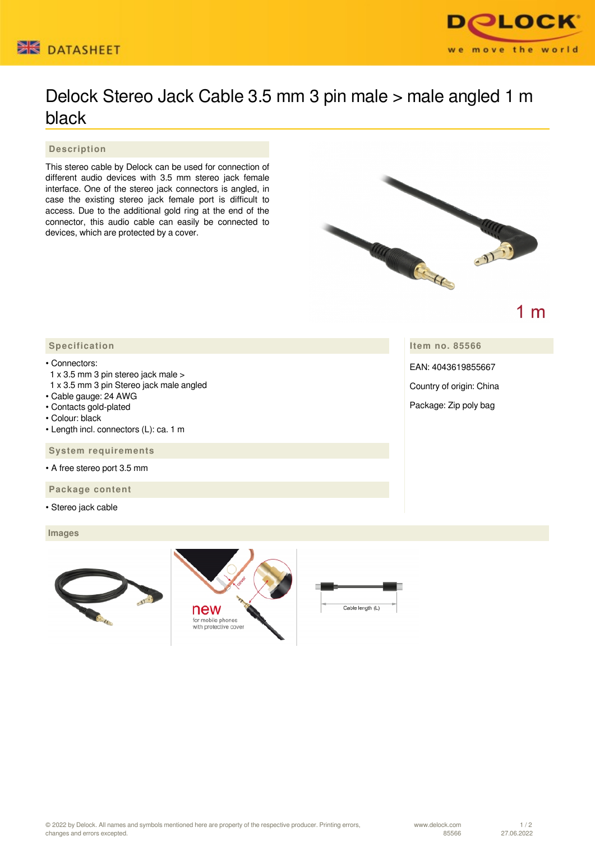



## Delock Stereo Jack Cable 3.5 mm 3 pin male > male angled 1 m black

 **Description**

This stereo cable by Delock can be used for connection of different audio devices with 3.5 mm stereo jack female interface. One of the stereo jack connectors is angled, in case the existing stereo jack female port is difficult to access. Due to the additional gold ring at the end of the connector, this audio cable can easily be connected to devices, which are protected by a cover.



1 $m$ 

**Item no. 85566**

EAN: 4043619855667

Country of origin: China

Package: Zip poly bag

## • Connectors:

- 1 x 3.5 mm 3 pin stereo jack male >
- 1 x 3.5 mm 3 pin Stereo jack male angled
- Cable gauge: 24 AWG
- Contacts gold-plated
- Colour: black
- Length incl. connectors (L): ca. 1 m

 **System requirements**

- A free stereo port 3.5 mm
- **Package content**
- Stereo jack cable

 **Images**